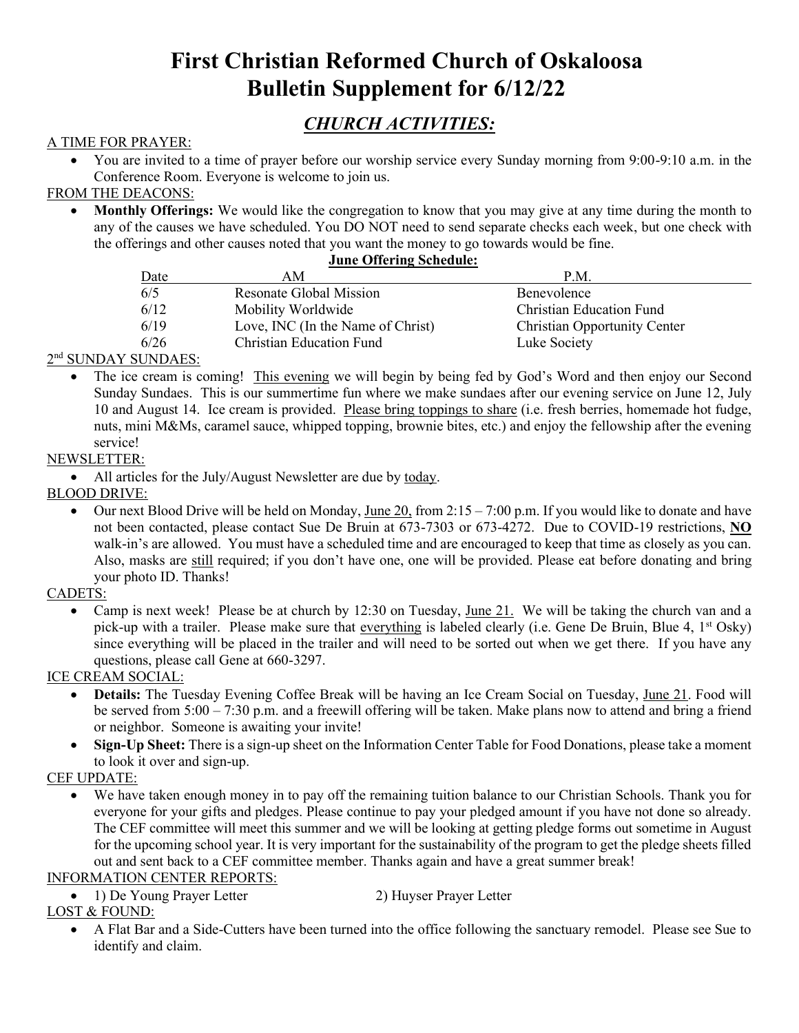# **First Christian Reformed Church of Oskaloosa Bulletin Supplement for 6/12/22**

## *CHURCH ACTIVITIES:*

## A TIME FOR PRAYER:

• You are invited to a time of prayer before our worship service every Sunday morning from 9:00-9:10 a.m. in the Conference Room. Everyone is welcome to join us.

## FROM THE DEACONS:

• **Monthly Offerings:** We would like the congregation to know that you may give at any time during the month to any of the causes we have scheduled. You DO NOT need to send separate checks each week, but one check with the offerings and other causes noted that you want the money to go towards would be fine.

#### **June Offering Schedule:**

| Date | AΜ                                | P.M.                                |  |
|------|-----------------------------------|-------------------------------------|--|
| 6/5  | Resonate Global Mission           | Benevolence                         |  |
| 6/12 | Mobility Worldwide                | <b>Christian Education Fund</b>     |  |
| 6/19 | Love, INC (In the Name of Christ) | <b>Christian Opportunity Center</b> |  |
| 6/26 | <b>Christian Education Fund</b>   | Luke Society                        |  |
|      |                                   |                                     |  |

## 2<sup>nd</sup> SUNDAY SUNDAES:

• The ice cream is coming! This evening we will begin by being fed by God's Word and then enjoy our Second Sunday Sundaes. This is our summertime fun where we make sundaes after our evening service on June 12, July 10 and August 14. Ice cream is provided. Please bring toppings to share (i.e. fresh berries, homemade hot fudge, nuts, mini M&Ms, caramel sauce, whipped topping, brownie bites, etc.) and enjoy the fellowship after the evening service!

## NEWSLETTER:

• All articles for the July/August Newsletter are due by today.

## BLOOD DRIVE:

• Our next Blood Drive will be held on Monday, June 20, from  $2:15 - 7:00$  p.m. If you would like to donate and have not been contacted, please contact Sue De Bruin at 673-7303 or 673-4272. Due to COVID-19 restrictions, **NO** walk-in's are allowed. You must have a scheduled time and are encouraged to keep that time as closely as you can. Also, masks are still required; if you don't have one, one will be provided. Please eat before donating and bring your photo ID. Thanks!

## CADETS:

• Camp is next week! Please be at church by 12:30 on Tuesday, June 21. We will be taking the church van and a pick-up with a trailer. Please make sure that everything is labeled clearly (i.e. Gene De Bruin, Blue 4,  $1<sup>st</sup> Osky$ ) since everything will be placed in the trailer and will need to be sorted out when we get there. If you have any questions, please call Gene at 660-3297.

#### ICE CREAM SOCIAL:

- **Details:** The Tuesday Evening Coffee Break will be having an Ice Cream Social on Tuesday, June 21. Food will be served from 5:00 – 7:30 p.m. and a freewill offering will be taken. Make plans now to attend and bring a friend or neighbor. Someone is awaiting your invite!
- **Sign-Up Sheet:** There is a sign-up sheet on the Information Center Table for Food Donations, please take a moment to look it over and sign-up.

## CEF UPDATE:

We have taken enough money in to pay off the remaining tuition balance to our Christian Schools. Thank you for everyone for your gifts and pledges. Please continue to pay your pledged amount if you have not done so already. The CEF committee will meet this summer and we will be looking at getting pledge forms out sometime in August for the upcoming school year. It is very important for the sustainability of the program to get the pledge sheets filled out and sent back to a CEF committee member. Thanks again and have a great summer break!

#### INFORMATION CENTER REPORTS:

• 1) De Young Prayer Letter 2) Huyser Prayer Letter

## LOST & FOUND:

• A Flat Bar and a Side-Cutters have been turned into the office following the sanctuary remodel. Please see Sue to identify and claim.